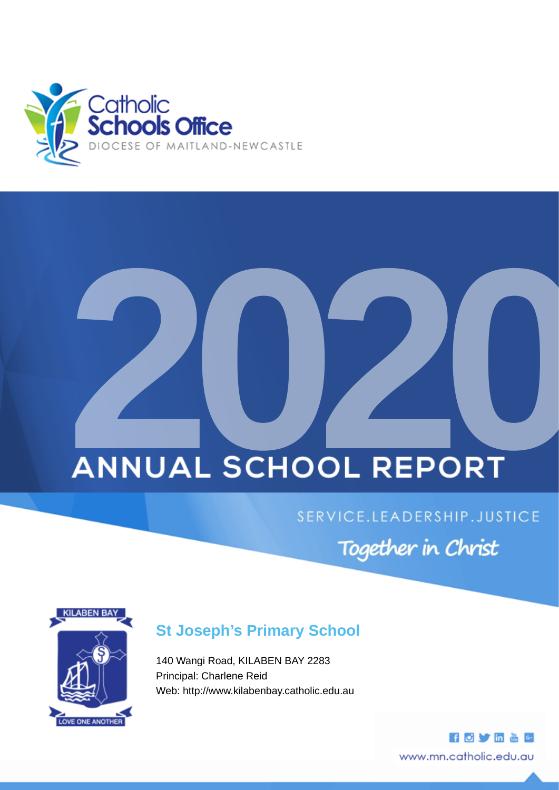

# **2020**

# SERVICE.LEADERSHIP.JUSTICE

Together in Christ



# **St Joseph's Primary School**

140 Wangi Road, KILABEN BAY 2283 Principal: Charlene Reid Web: http://www.kilabenbay.catholic.edu.au

> **HOVE&G** www.mn.catholic.edu.au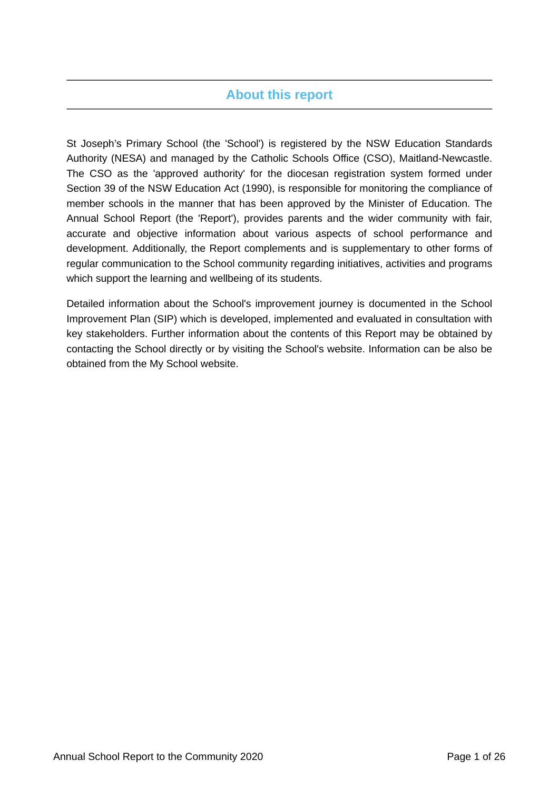## **About this report**

St Joseph's Primary School (the 'School') is registered by the NSW Education Standards Authority (NESA) and managed by the Catholic Schools Office (CSO), Maitland-Newcastle. The CSO as the 'approved authority' for the diocesan registration system formed under Section 39 of the NSW Education Act (1990), is responsible for monitoring the compliance of member schools in the manner that has been approved by the Minister of Education. The Annual School Report (the 'Report'), provides parents and the wider community with fair, accurate and objective information about various aspects of school performance and development. Additionally, the Report complements and is supplementary to other forms of regular communication to the School community regarding initiatives, activities and programs which support the learning and wellbeing of its students.

Detailed information about the School's improvement journey is documented in the School Improvement Plan (SIP) which is developed, implemented and evaluated in consultation with key stakeholders. Further information about the contents of this Report may be obtained by contacting the School directly or by visiting the School's website. Information can be also be obtained from the My School website.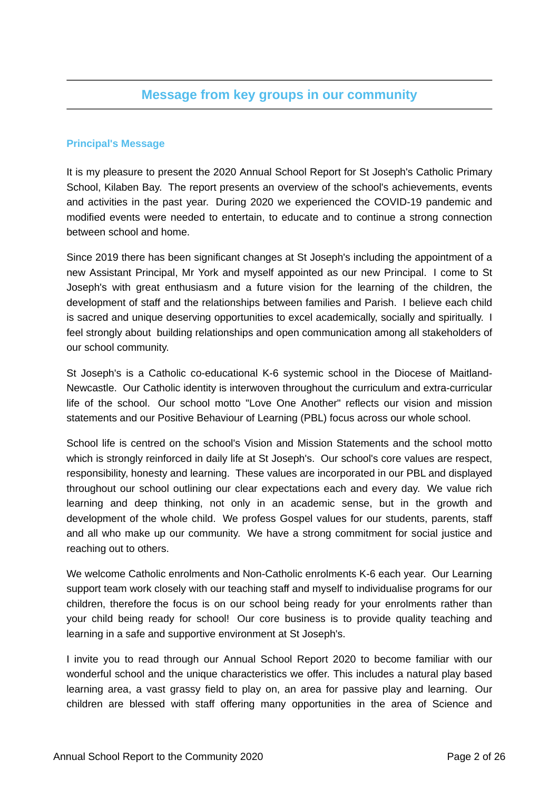## **Message from key groups in our community**

## **Principal's Message**

It is my pleasure to present the 2020 Annual School Report for St Joseph's Catholic Primary School, Kilaben Bay. The report presents an overview of the school's achievements, events and activities in the past year. During 2020 we experienced the COVID-19 pandemic and modified events were needed to entertain, to educate and to continue a strong connection between school and home.

Since 2019 there has been significant changes at St Joseph's including the appointment of a new Assistant Principal, Mr York and myself appointed as our new Principal. I come to St Joseph's with great enthusiasm and a future vision for the learning of the children, the development of staff and the relationships between families and Parish. I believe each child is sacred and unique deserving opportunities to excel academically, socially and spiritually. I feel strongly about building relationships and open communication among all stakeholders of our school community.

St Joseph's is a Catholic co-educational K-6 systemic school in the Diocese of Maitland-Newcastle. Our Catholic identity is interwoven throughout the curriculum and extra-curricular life of the school. Our school motto "Love One Another" reflects our vision and mission statements and our Positive Behaviour of Learning (PBL) focus across our whole school.

School life is centred on the school's Vision and Mission Statements and the school motto which is strongly reinforced in daily life at St Joseph's. Our school's core values are respect, responsibility, honesty and learning. These values are incorporated in our PBL and displayed throughout our school outlining our clear expectations each and every day. We value rich learning and deep thinking, not only in an academic sense, but in the growth and development of the whole child. We profess Gospel values for our students, parents, staff and all who make up our community. We have a strong commitment for social justice and reaching out to others.

We welcome Catholic enrolments and Non-Catholic enrolments K-6 each year. Our Learning support team work closely with our teaching staff and myself to individualise programs for our children, therefore the focus is on our school being ready for your enrolments rather than your child being ready for school! Our core business is to provide quality teaching and learning in a safe and supportive environment at St Joseph's.

I invite you to read through our Annual School Report 2020 to become familiar with our wonderful school and the unique characteristics we offer. This includes a natural play based learning area, a vast grassy field to play on, an area for passive play and learning. Our children are blessed with staff offering many opportunities in the area of Science and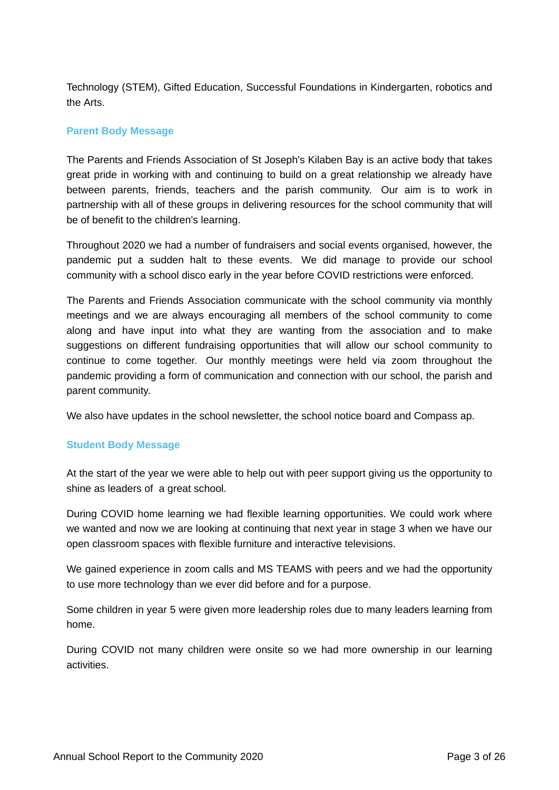Technology (STEM), Gifted Education, Successful Foundations in Kindergarten, robotics and the Arts.

## **Parent Body Message**

The Parents and Friends Association of St Joseph's Kilaben Bay is an active body that takes great pride in working with and continuing to build on a great relationship we already have between parents, friends, teachers and the parish community. Our aim is to work in partnership with all of these groups in delivering resources for the school community that will be of benefit to the children's learning.

Throughout 2020 we had a number of fundraisers and social events organised, however, the pandemic put a sudden halt to these events. We did manage to provide our school community with a school disco early in the year before COVID restrictions were enforced.

The Parents and Friends Association communicate with the school community via monthly meetings and we are always encouraging all members of the school community to come along and have input into what they are wanting from the association and to make suggestions on different fundraising opportunities that will allow our school community to continue to come together. Our monthly meetings were held via zoom throughout the pandemic providing a form of communication and connection with our school, the parish and parent community.

We also have updates in the school newsletter, the school notice board and Compass ap.

## **Student Body Message**

At the start of the year we were able to help out with peer support giving us the opportunity to shine as leaders of a great school.

During COVID home learning we had flexible learning opportunities. We could work where we wanted and now we are looking at continuing that next year in stage 3 when we have our open classroom spaces with flexible furniture and interactive televisions.

We gained experience in zoom calls and MS TEAMS with peers and we had the opportunity to use more technology than we ever did before and for a purpose.

Some children in year 5 were given more leadership roles due to many leaders learning from home.

During COVID not many children were onsite so we had more ownership in our learning activities.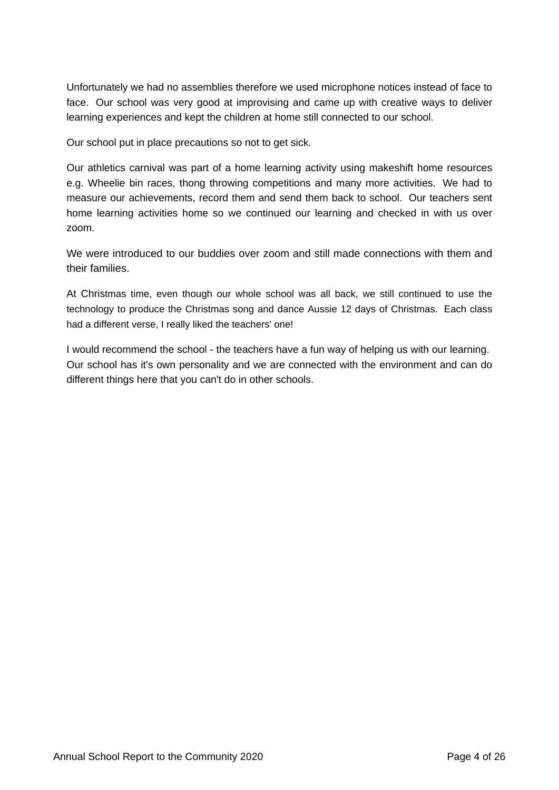Unfortunately we had no assemblies therefore we used microphone notices instead of face to face. Our school was very good at improvising and came up with creative ways to deliver learning experiences and kept the children at home still connected to our school.

Our school put in place precautions so not to get sick.

Our athletics carnival was part of a home learning activity using makeshift home resources e.g. Wheelie bin races, thong throwing competitions and many more activities. We had to measure our achievements, record them and send them back to school. Our teachers sent home learning activities home so we continued our learning and checked in with us over zoom.

We were introduced to our buddies over zoom and still made connections with them and their families.

At Christmas time, even though our whole school was all back, we still continued to use the technology to produce the Christmas song and dance Aussie 12 days of Christmas. Each class had a different verse, I really liked the teachers' one!

I would recommend the school - the teachers have a fun way of helping us with our learning. Our school has it's own personality and we are connected with the environment and can do different things here that you can't do in other schools.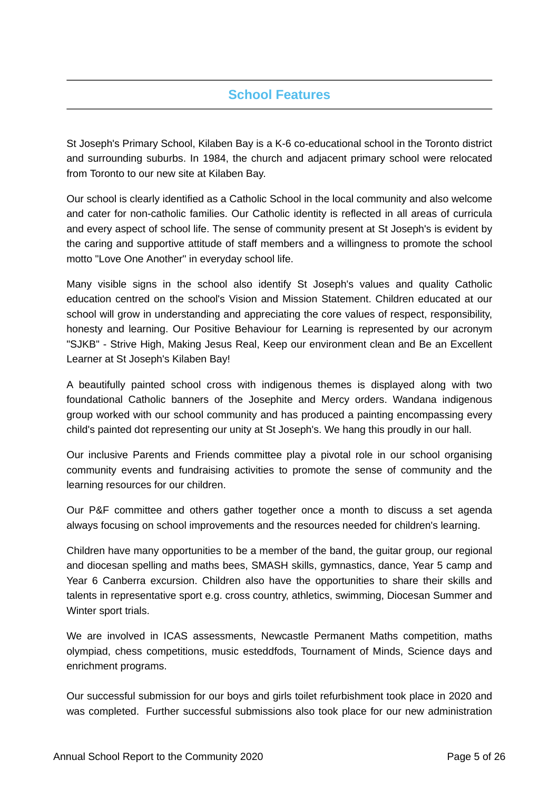# **School Features**

St Joseph's Primary School, Kilaben Bay is a K-6 co-educational school in the Toronto district and surrounding suburbs. In 1984, the church and adjacent primary school were relocated from Toronto to our new site at Kilaben Bay.

Our school is clearly identified as a Catholic School in the local community and also welcome and cater for non-catholic families. Our Catholic identity is reflected in all areas of curricula and every aspect of school life. The sense of community present at St Joseph's is evident by the caring and supportive attitude of staff members and a willingness to promote the school motto "Love One Another" in everyday school life.

Many visible signs in the school also identify St Joseph's values and quality Catholic education centred on the school's Vision and Mission Statement. Children educated at our school will grow in understanding and appreciating the core values of respect, responsibility, honesty and learning. Our Positive Behaviour for Learning is represented by our acronym "SJKB" - Strive High, Making Jesus Real, Keep our environment clean and Be an Excellent Learner at St Joseph's Kilaben Bay!

A beautifully painted school cross with indigenous themes is displayed along with two foundational Catholic banners of the Josephite and Mercy orders. Wandana indigenous group worked with our school community and has produced a painting encompassing every child's painted dot representing our unity at St Joseph's. We hang this proudly in our hall.

Our inclusive Parents and Friends committee play a pivotal role in our school organising community events and fundraising activities to promote the sense of community and the learning resources for our children.

Our P&F committee and others gather together once a month to discuss a set agenda always focusing on school improvements and the resources needed for children's learning.

Children have many opportunities to be a member of the band, the guitar group, our regional and diocesan spelling and maths bees, SMASH skills, gymnastics, dance, Year 5 camp and Year 6 Canberra excursion. Children also have the opportunities to share their skills and talents in representative sport e.g. cross country, athletics, swimming, Diocesan Summer and Winter sport trials.

We are involved in ICAS assessments, Newcastle Permanent Maths competition, maths olympiad, chess competitions, music esteddfods, Tournament of Minds, Science days and enrichment programs.

Our successful submission for our boys and girls toilet refurbishment took place in 2020 and was completed. Further successful submissions also took place for our new administration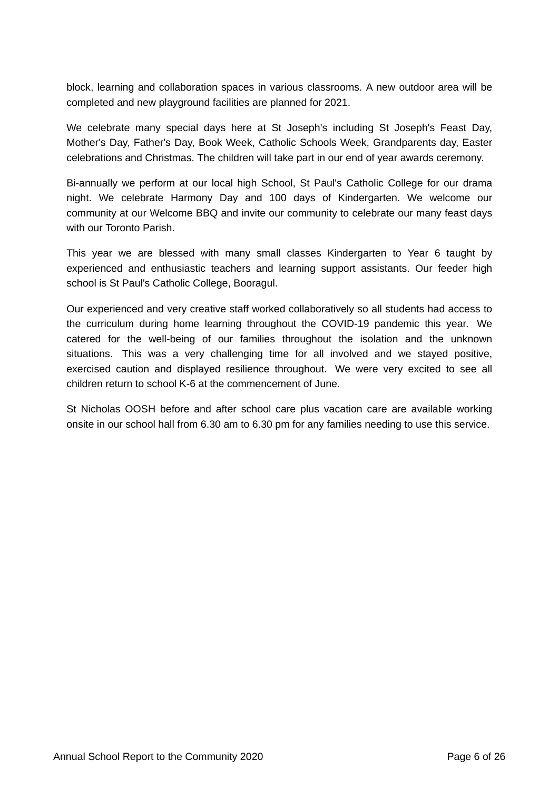block, learning and collaboration spaces in various classrooms. A new outdoor area will be completed and new playground facilities are planned for 2021.

We celebrate many special days here at St Joseph's including St Joseph's Feast Day, Mother's Day, Father's Day, Book Week, Catholic Schools Week, Grandparents day, Easter celebrations and Christmas. The children will take part in our end of year awards ceremony.

Bi-annually we perform at our local high School, St Paul's Catholic College for our drama night. We celebrate Harmony Day and 100 days of Kindergarten. We welcome our community at our Welcome BBQ and invite our community to celebrate our many feast days with our Toronto Parish.

This year we are blessed with many small classes Kindergarten to Year 6 taught by experienced and enthusiastic teachers and learning support assistants. Our feeder high school is St Paul's Catholic College, Booragul.

Our experienced and very creative staff worked collaboratively so all students had access to the curriculum during home learning throughout the COVID-19 pandemic this year. We catered for the well-being of our families throughout the isolation and the unknown situations. This was a very challenging time for all involved and we stayed positive, exercised caution and displayed resilience throughout. We were very excited to see all children return to school K-6 at the commencement of June.

St Nicholas OOSH before and after school care plus vacation care are available working onsite in our school hall from 6.30 am to 6.30 pm for any families needing to use this service.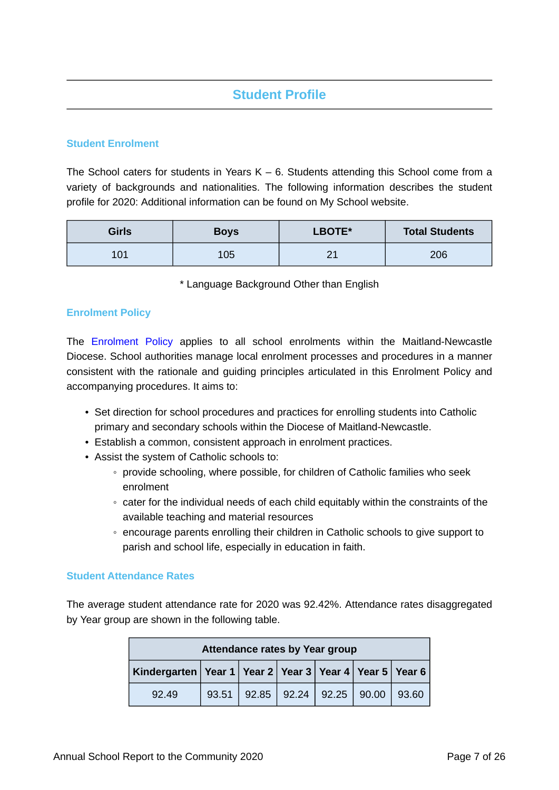# **Student Profile**

## **Student Enrolment**

The School caters for students in Years  $K - 6$ . Students attending this School come from a variety of backgrounds and nationalities. The following information describes the student profile for 2020: Additional information can be found on My School website.

| Girls | <b>Boys</b> | LBOTE*            | <b>Total Students</b> |
|-------|-------------|-------------------|-----------------------|
| 101   | 105         | $\mathbf{\Omega}$ | 206                   |

\* Language Background Other than English

## **Enrolment Policy**

The [Enrolment Policy](https://www.mn.catholic.edu.au/media/48207/enrolment-policy-2018.pdf) applies to all school enrolments within the Maitland-Newcastle Diocese. School authorities manage local enrolment processes and procedures in a manner consistent with the rationale and guiding principles articulated in this Enrolment Policy and accompanying procedures. It aims to:

- Set direction for school procedures and practices for enrolling students into Catholic primary and secondary schools within the Diocese of Maitland-Newcastle.
- Establish a common, consistent approach in enrolment practices.
- Assist the system of Catholic schools to:
	- provide schooling, where possible, for children of Catholic families who seek enrolment
	- cater for the individual needs of each child equitably within the constraints of the available teaching and material resources
	- encourage parents enrolling their children in Catholic schools to give support to parish and school life, especially in education in faith.

## **Student Attendance Rates**

The average student attendance rate for 2020 was 92.42%. Attendance rates disaggregated by Year group are shown in the following table.

| Attendance rates by Year group                                     |       |  |                           |  |  |       |
|--------------------------------------------------------------------|-------|--|---------------------------|--|--|-------|
| Kindergarten   Year 1   Year 2   Year 3   Year 4   Year 5   Year 6 |       |  |                           |  |  |       |
| 92.49                                                              | 93.51 |  | $92.85$ 92.24 92.25 90.00 |  |  | 93.60 |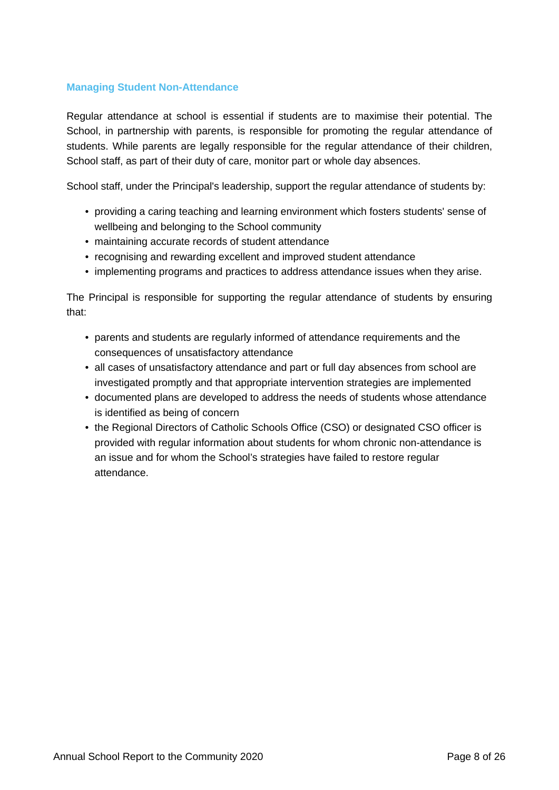## **Managing Student Non-Attendance**

Regular attendance at school is essential if students are to maximise their potential. The School, in partnership with parents, is responsible for promoting the regular attendance of students. While parents are legally responsible for the regular attendance of their children, School staff, as part of their duty of care, monitor part or whole day absences.

School staff, under the Principal's leadership, support the regular attendance of students by:

- providing a caring teaching and learning environment which fosters students' sense of wellbeing and belonging to the School community
- maintaining accurate records of student attendance
- recognising and rewarding excellent and improved student attendance
- implementing programs and practices to address attendance issues when they arise.

The Principal is responsible for supporting the regular attendance of students by ensuring that:

- parents and students are regularly informed of attendance requirements and the consequences of unsatisfactory attendance
- all cases of unsatisfactory attendance and part or full day absences from school are investigated promptly and that appropriate intervention strategies are implemented
- documented plans are developed to address the needs of students whose attendance is identified as being of concern
- the Regional Directors of Catholic Schools Office (CSO) or designated CSO officer is provided with regular information about students for whom chronic non-attendance is an issue and for whom the School's strategies have failed to restore regular attendance.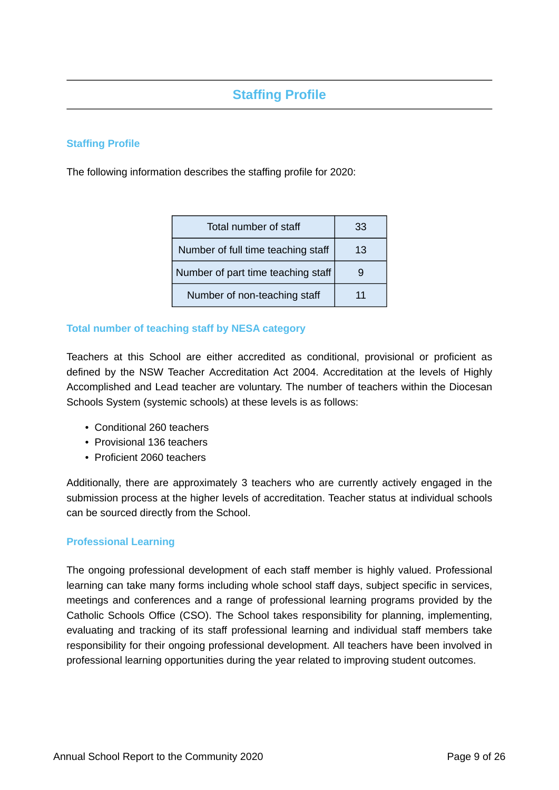# **Staffing Profile**

## **Staffing Profile**

The following information describes the staffing profile for 2020:

| Total number of staff              | 33 |
|------------------------------------|----|
| Number of full time teaching staff | 13 |
| Number of part time teaching staff |    |
| Number of non-teaching staff       | 11 |

## **Total number of teaching staff by NESA category**

Teachers at this School are either accredited as conditional, provisional or proficient as defined by the NSW Teacher Accreditation Act 2004. Accreditation at the levels of Highly Accomplished and Lead teacher are voluntary. The number of teachers within the Diocesan Schools System (systemic schools) at these levels is as follows:

- Conditional 260 teachers
- Provisional 136 teachers
- Proficient 2060 teachers

Additionally, there are approximately 3 teachers who are currently actively engaged in the submission process at the higher levels of accreditation. Teacher status at individual schools can be sourced directly from the School.

## **Professional Learning**

The ongoing professional development of each staff member is highly valued. Professional learning can take many forms including whole school staff days, subject specific in services, meetings and conferences and a range of professional learning programs provided by the Catholic Schools Office (CSO). The School takes responsibility for planning, implementing, evaluating and tracking of its staff professional learning and individual staff members take responsibility for their ongoing professional development. All teachers have been involved in professional learning opportunities during the year related to improving student outcomes.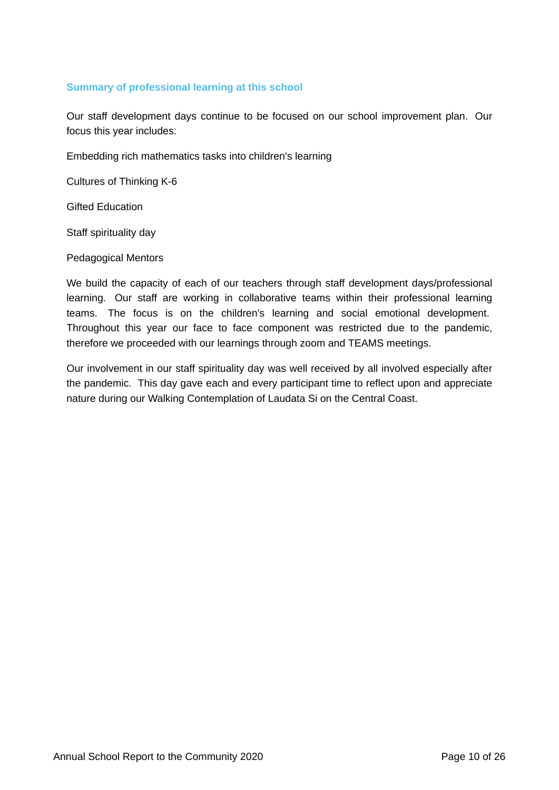## **Summary of professional learning at this school**

Our staff development days continue to be focused on our school improvement plan. Our focus this year includes:

Embedding rich mathematics tasks into children's learning

Cultures of Thinking K-6

Gifted Education

Staff spirituality day

Pedagogical Mentors

We build the capacity of each of our teachers through staff development days/professional learning. Our staff are working in collaborative teams within their professional learning teams. The focus is on the children's learning and social emotional development. Throughout this year our face to face component was restricted due to the pandemic, therefore we proceeded with our learnings through zoom and TEAMS meetings.

Our involvement in our staff spirituality day was well received by all involved especially after the pandemic. This day gave each and every participant time to reflect upon and appreciate nature during our Walking Contemplation of Laudata Si on the Central Coast.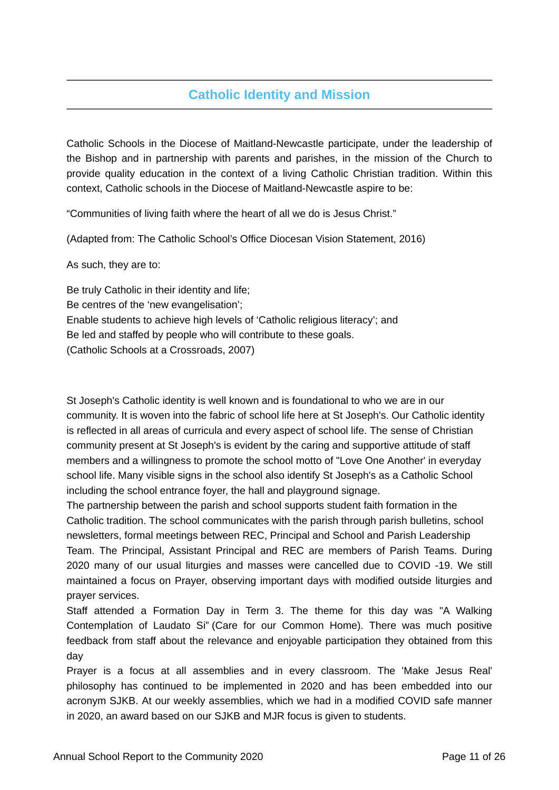# **Catholic Identity and Mission**

Catholic Schools in the Diocese of Maitland-Newcastle participate, under the leadership of the Bishop and in partnership with parents and parishes, in the mission of the Church to provide quality education in the context of a living Catholic Christian tradition. Within this context, Catholic schools in the Diocese of Maitland-Newcastle aspire to be:

"Communities of living faith where the heart of all we do is Jesus Christ."

(Adapted from: The Catholic School's Office Diocesan Vision Statement, 2016)

As such, they are to:

Be truly Catholic in their identity and life; Be centres of the 'new evangelisation'; Enable students to achieve high levels of 'Catholic religious literacy'; and Be led and staffed by people who will contribute to these goals. (Catholic Schools at a Crossroads, 2007)

St Joseph's Catholic identity is well known and is foundational to who we are in our community. It is woven into the fabric of school life here at St Joseph's. Our Catholic identity is reflected in all areas of curricula and every aspect of school life. The sense of Christian community present at St Joseph's is evident by the caring and supportive attitude of staff members and a willingness to promote the school motto of "Love One Another' in everyday school life. Many visible signs in the school also identify St Joseph's as a Catholic School including the school entrance foyer, the hall and playground signage.

The partnership between the parish and school supports student faith formation in the Catholic tradition. The school communicates with the parish through parish bulletins, school newsletters, formal meetings between REC, Principal and School and Parish Leadership Team. The Principal, Assistant Principal and REC are members of Parish Teams. During 2020 many of our usual liturgies and masses were cancelled due to COVID -19. We still maintained a focus on Prayer, observing important days with modified outside liturgies and prayer services.

Staff attended a Formation Day in Term 3. The theme for this day was "A Walking Contemplation of Laudato Si" (Care for our Common Home). There was much positive feedback from staff about the relevance and enjoyable participation they obtained from this day

Prayer is a focus at all assemblies and in every classroom. The 'Make Jesus Real' philosophy has continued to be implemented in 2020 and has been embedded into our acronym SJKB. At our weekly assemblies, which we had in a modified COVID safe manner in 2020, an award based on our SJKB and MJR focus is given to students.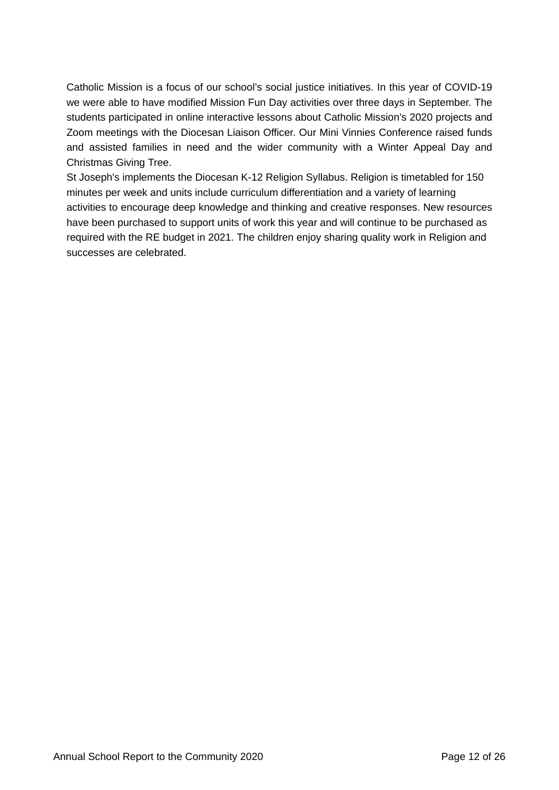Catholic Mission is a focus of our school's social justice initiatives. In this year of COVID-19 we were able to have modified Mission Fun Day activities over three days in September. The students participated in online interactive lessons about Catholic Mission's 2020 projects and Zoom meetings with the Diocesan Liaison Officer. Our Mini Vinnies Conference raised funds and assisted families in need and the wider community with a Winter Appeal Day and Christmas Giving Tree.

St Joseph's implements the Diocesan K-12 Religion Syllabus. Religion is timetabled for 150 minutes per week and units include curriculum differentiation and a variety of learning activities to encourage deep knowledge and thinking and creative responses. New resources have been purchased to support units of work this year and will continue to be purchased as required with the RE budget in 2021. The children enjoy sharing quality work in Religion and successes are celebrated.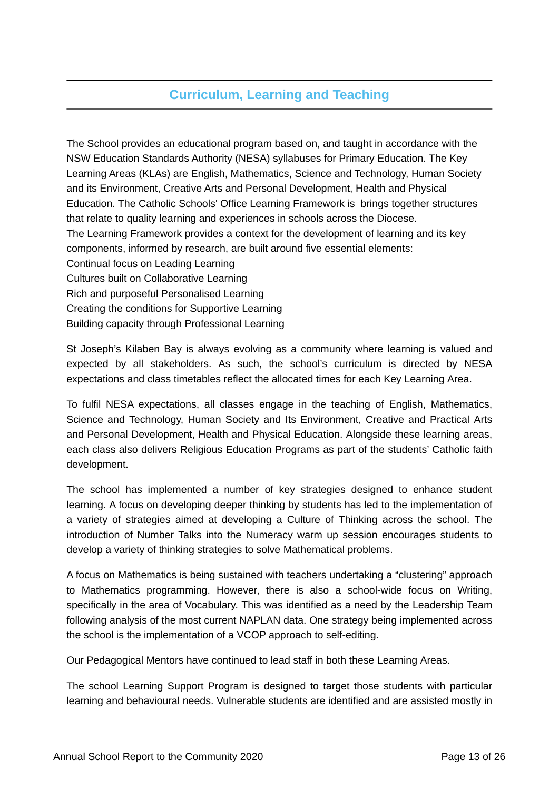# **Curriculum, Learning and Teaching**

The School provides an educational program based on, and taught in accordance with the NSW Education Standards Authority (NESA) syllabuses for Primary Education. The Key Learning Areas (KLAs) are English, Mathematics, Science and Technology, Human Society and its Environment, Creative Arts and Personal Development, Health and Physical Education. The Catholic Schools' Office Learning Framework is brings together structures that relate to quality learning and experiences in schools across the Diocese. The Learning Framework provides a context for the development of learning and its key components, informed by research, are built around five essential elements: Continual focus on Leading Learning Cultures built on Collaborative Learning Rich and purposeful Personalised Learning Creating the conditions for Supportive Learning Building capacity through Professional Learning

St Joseph's Kilaben Bay is always evolving as a community where learning is valued and expected by all stakeholders. As such, the school's curriculum is directed by NESA expectations and class timetables reflect the allocated times for each Key Learning Area.

To fulfil NESA expectations, all classes engage in the teaching of English, Mathematics, Science and Technology, Human Society and Its Environment, Creative and Practical Arts and Personal Development, Health and Physical Education. Alongside these learning areas, each class also delivers Religious Education Programs as part of the students' Catholic faith development.

The school has implemented a number of key strategies designed to enhance student learning. A focus on developing deeper thinking by students has led to the implementation of a variety of strategies aimed at developing a Culture of Thinking across the school. The introduction of Number Talks into the Numeracy warm up session encourages students to develop a variety of thinking strategies to solve Mathematical problems.

A focus on Mathematics is being sustained with teachers undertaking a "clustering" approach to Mathematics programming. However, there is also a school-wide focus on Writing, specifically in the area of Vocabulary. This was identified as a need by the Leadership Team following analysis of the most current NAPLAN data. One strategy being implemented across the school is the implementation of a VCOP approach to self-editing.

Our Pedagogical Mentors have continued to lead staff in both these Learning Areas.

The school Learning Support Program is designed to target those students with particular learning and behavioural needs. Vulnerable students are identified and are assisted mostly in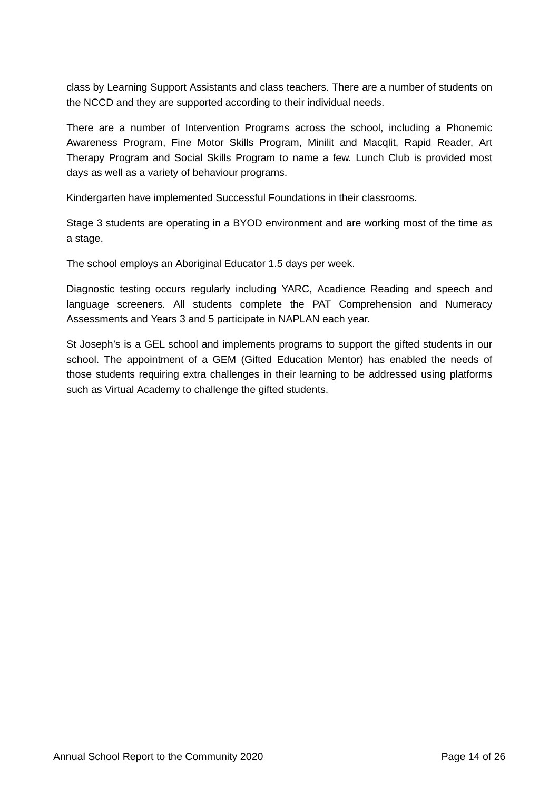class by Learning Support Assistants and class teachers. There are a number of students on the NCCD and they are supported according to their individual needs.

There are a number of Intervention Programs across the school, including a Phonemic Awareness Program, Fine Motor Skills Program, Minilit and Macqlit, Rapid Reader, Art Therapy Program and Social Skills Program to name a few. Lunch Club is provided most days as well as a variety of behaviour programs.

Kindergarten have implemented Successful Foundations in their classrooms.

Stage 3 students are operating in a BYOD environment and are working most of the time as a stage.

The school employs an Aboriginal Educator 1.5 days per week.

Diagnostic testing occurs regularly including YARC, Acadience Reading and speech and language screeners. All students complete the PAT Comprehension and Numeracy Assessments and Years 3 and 5 participate in NAPLAN each year.

St Joseph's is a GEL school and implements programs to support the gifted students in our school. The appointment of a GEM (Gifted Education Mentor) has enabled the needs of those students requiring extra challenges in their learning to be addressed using platforms such as Virtual Academy to challenge the gifted students.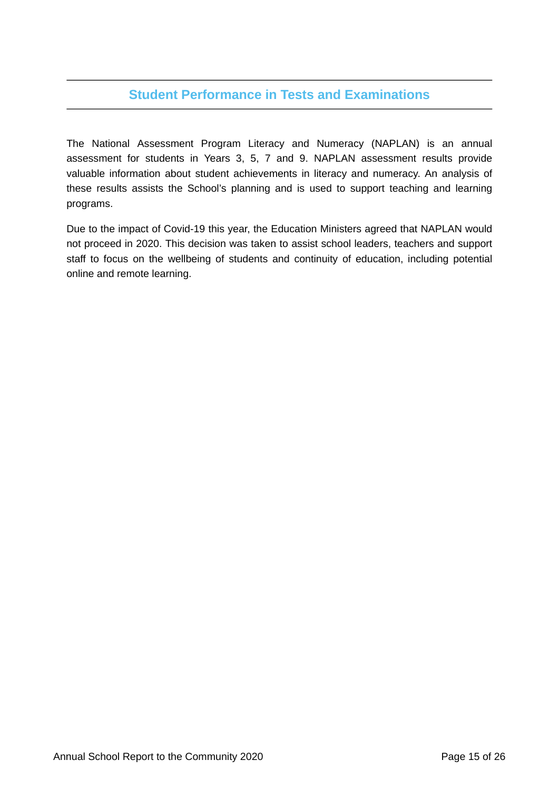## **Student Performance in Tests and Examinations**

The National Assessment Program Literacy and Numeracy (NAPLAN) is an annual assessment for students in Years 3, 5, 7 and 9. NAPLAN assessment results provide valuable information about student achievements in literacy and numeracy. An analysis of these results assists the School's planning and is used to support teaching and learning programs.

Due to the impact of Covid-19 this year, the Education Ministers agreed that NAPLAN would not proceed in 2020. This decision was taken to assist school leaders, teachers and support staff to focus on the wellbeing of students and continuity of education, including potential online and remote learning.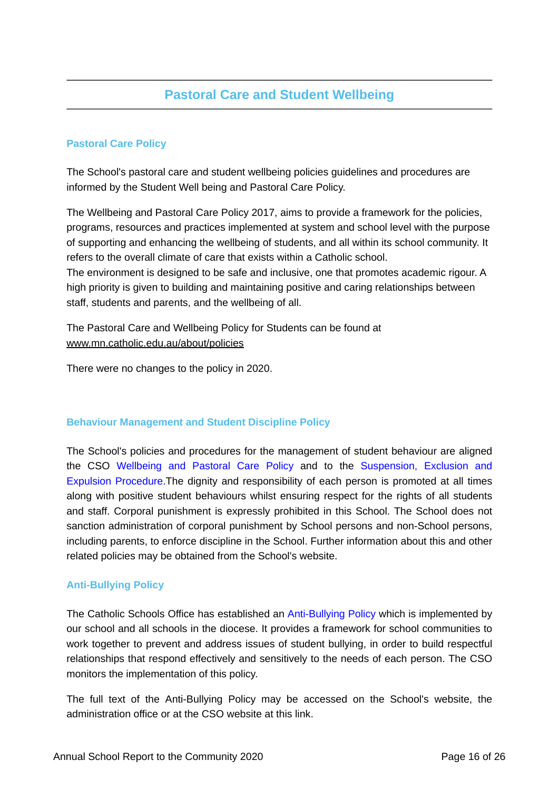# **Pastoral Care and Student Wellbeing**

## **Pastoral Care Policy**

The School's pastoral care and student wellbeing policies guidelines and procedures are informed by the Student Well being and Pastoral Care Policy.

The Wellbeing and Pastoral Care Policy 2017, aims to provide a framework for the policies, programs, resources and practices implemented at system and school level with the purpose of supporting and enhancing the wellbeing of students, and all within its school community. It refers to the overall climate of care that exists within a Catholic school.

The environment is designed to be safe and inclusive, one that promotes academic rigour. A high priority is given to building and maintaining positive and caring relationships between staff, students and parents, and the wellbeing of all.

The Pastoral Care and Wellbeing Policy for Students can be found at www.mn.catholic.edu.au/about/policies

There were no changes to the policy in 2020.

## **Behaviour Management and Student Discipline Policy**

The School's policies and procedures for the management of student behaviour are aligned the CSO [Wellbeing and Pastoral Care Policy](https://www.mn.catholic.edu.au/media/47922/wellbeing-and-pastoral-care-students-policy-2017.pdf) and to the [Suspension, Exclusion and](https://www.mn.catholic.edu.au/media/49106/suspension-expulsion-and-exclusion-procedure-2019.pdf) [Expulsion Procedure.T](https://www.mn.catholic.edu.au/media/49106/suspension-expulsion-and-exclusion-procedure-2019.pdf)he dignity and responsibility of each person is promoted at all times along with positive student behaviours whilst ensuring respect for the rights of all students and staff. Corporal punishment is expressly prohibited in this School. The School does not sanction administration of corporal punishment by School persons and non-School persons, including parents, to enforce discipline in the School. Further information about this and other related policies may be obtained from the School's website.

## **Anti-Bullying Policy**

The Catholic Schools Office has established an [Anti-Bullying Policy](https://www.mn.catholic.edu.au/media/49151/anti-bullying-policy-for-students-policy-2019.pdf) which is implemented by our school and all schools in the diocese. It provides a framework for school communities to work together to prevent and address issues of student bullying, in order to build respectful relationships that respond effectively and sensitively to the needs of each person. The CSO monitors the implementation of this policy.

The full text of the Anti-Bullying Policy may be accessed on the School's website, the administration office or at the CSO website at this link.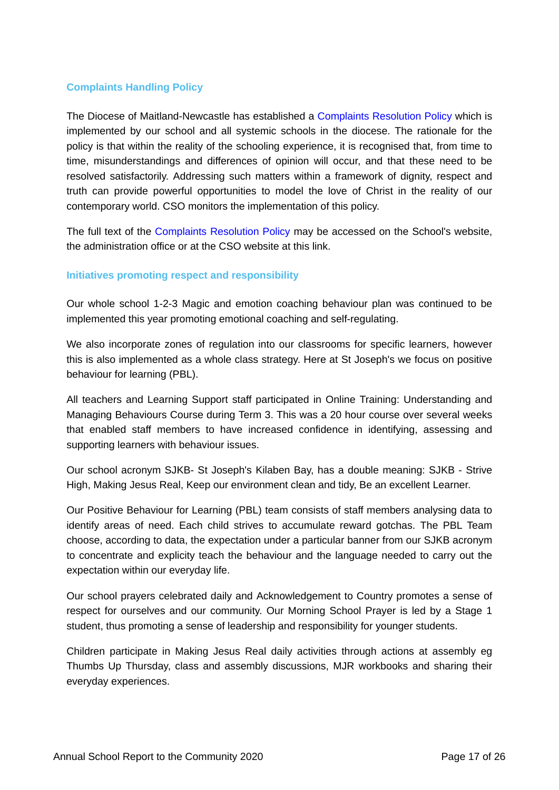## **Complaints Handling Policy**

The Diocese of Maitland-Newcastle has established a [Complaints Resolution Policy](https://www.mn.catholic.edu.au/media/48854/complaints-resolution-policy-2019.pdf) which is implemented by our school and all systemic schools in the diocese. The rationale for the policy is that within the reality of the schooling experience, it is recognised that, from time to time, misunderstandings and differences of opinion will occur, and that these need to be resolved satisfactorily. Addressing such matters within a framework of dignity, respect and truth can provide powerful opportunities to model the love of Christ in the reality of our contemporary world. CSO monitors the implementation of this policy.

The full text of the [Complaints Resolution Policy](https://www.mn.catholic.edu.au/media/48854/complaints-resolution-policy-2019.pdf) may be accessed on the School's website, the administration office or at the CSO website at this link.

## **Initiatives promoting respect and responsibility**

Our whole school 1-2-3 Magic and emotion coaching behaviour plan was continued to be implemented this year promoting emotional coaching and self-regulating.

We also incorporate zones of regulation into our classrooms for specific learners, however this is also implemented as a whole class strategy. Here at St Joseph's we focus on positive behaviour for learning (PBL).

All teachers and Learning Support staff participated in Online Training: Understanding and Managing Behaviours Course during Term 3. This was a 20 hour course over several weeks that enabled staff members to have increased confidence in identifying, assessing and supporting learners with behaviour issues.

Our school acronym SJKB- St Joseph's Kilaben Bay, has a double meaning: SJKB - Strive High, Making Jesus Real, Keep our environment clean and tidy, Be an excellent Learner.

Our Positive Behaviour for Learning (PBL) team consists of staff members analysing data to identify areas of need. Each child strives to accumulate reward gotchas. The PBL Team choose, according to data, the expectation under a particular banner from our SJKB acronym to concentrate and explicity teach the behaviour and the language needed to carry out the expectation within our everyday life.

Our school prayers celebrated daily and Acknowledgement to Country promotes a sense of respect for ourselves and our community. Our Morning School Prayer is led by a Stage 1 student, thus promoting a sense of leadership and responsibility for younger students.

Children participate in Making Jesus Real daily activities through actions at assembly eg Thumbs Up Thursday, class and assembly discussions, MJR workbooks and sharing their everyday experiences.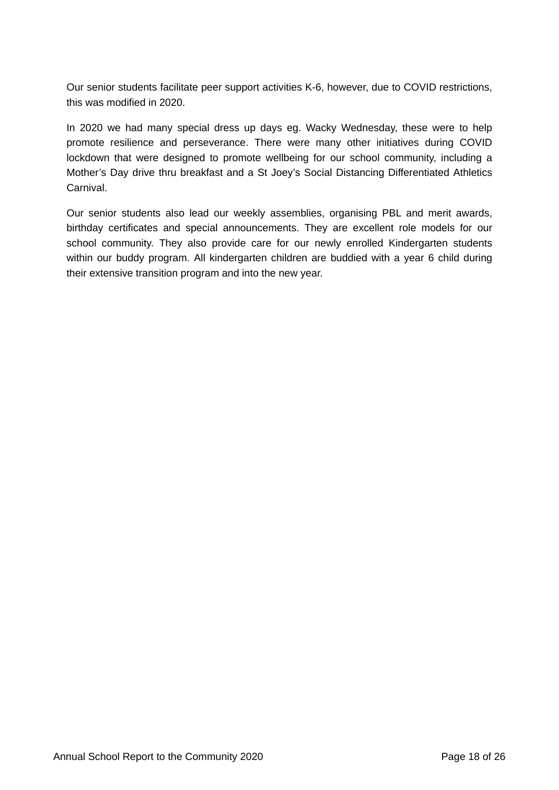Our senior students facilitate peer support activities K-6, however, due to COVID restrictions, this was modified in 2020.

In 2020 we had many special dress up days eg. Wacky Wednesday, these were to help promote resilience and perseverance. There were many other initiatives during COVID lockdown that were designed to promote wellbeing for our school community, including a Mother's Day drive thru breakfast and a St Joey's Social Distancing Differentiated Athletics Carnival.

Our senior students also lead our weekly assemblies, organising PBL and merit awards, birthday certificates and special announcements. They are excellent role models for our school community. They also provide care for our newly enrolled Kindergarten students within our buddy program. All kindergarten children are buddied with a year 6 child during their extensive transition program and into the new year.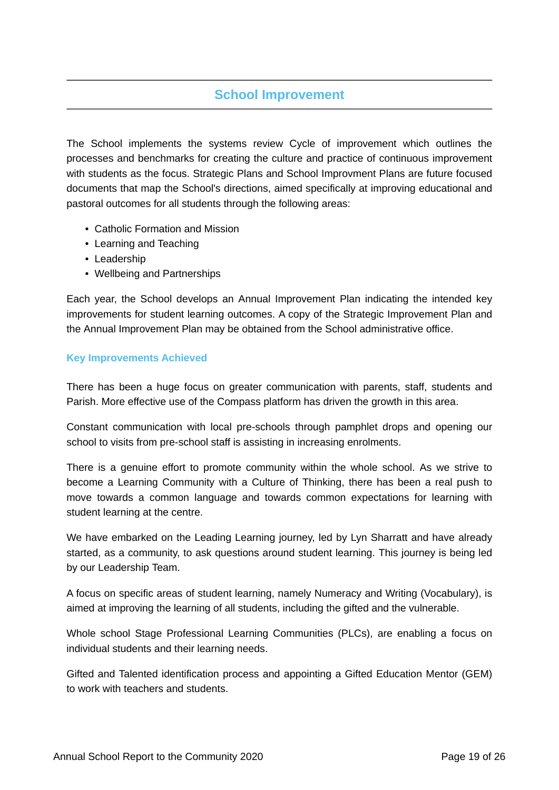## **School Improvement**

The School implements the systems review Cycle of improvement which outlines the processes and benchmarks for creating the culture and practice of continuous improvement with students as the focus. Strategic Plans and School Improvment Plans are future focused documents that map the School's directions, aimed specifically at improving educational and pastoral outcomes for all students through the following areas:

- Catholic Formation and Mission
- Learning and Teaching
- Leadership
- Wellbeing and Partnerships

Each year, the School develops an Annual Improvement Plan indicating the intended key improvements for student learning outcomes. A copy of the Strategic Improvement Plan and the Annual Improvement Plan may be obtained from the School administrative office.

## **Key Improvements Achieved**

There has been a huge focus on greater communication with parents, staff, students and Parish. More effective use of the Compass platform has driven the growth in this area.

Constant communication with local pre-schools through pamphlet drops and opening our school to visits from pre-school staff is assisting in increasing enrolments.

There is a genuine effort to promote community within the whole school. As we strive to become a Learning Community with a Culture of Thinking, there has been a real push to move towards a common language and towards common expectations for learning with student learning at the centre.

We have embarked on the Leading Learning journey, led by Lyn Sharratt and have already started, as a community, to ask questions around student learning. This journey is being led by our Leadership Team.

A focus on specific areas of student learning, namely Numeracy and Writing (Vocabulary), is aimed at improving the learning of all students, including the gifted and the vulnerable.

Whole school Stage Professional Learning Communities (PLCs), are enabling a focus on individual students and their learning needs.

Gifted and Talented identification process and appointing a Gifted Education Mentor (GEM) to work with teachers and students.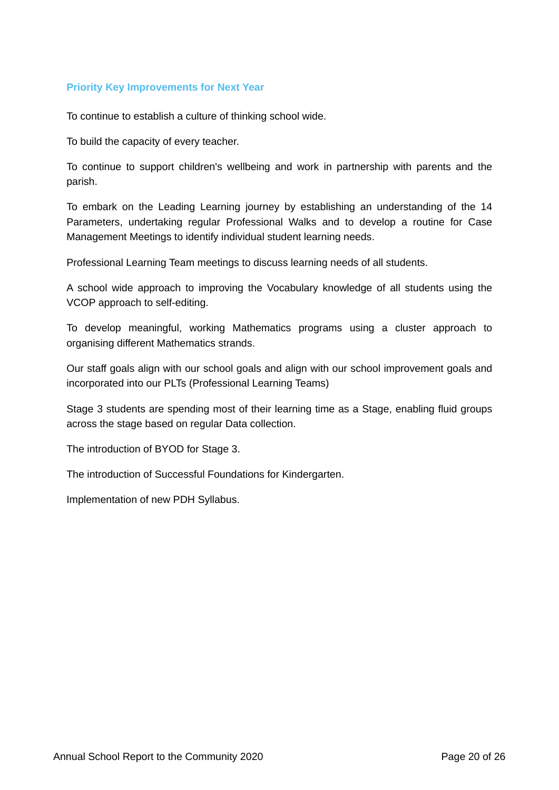#### **Priority Key Improvements for Next Year**

To continue to establish a culture of thinking school wide.

To build the capacity of every teacher.

To continue to support children's wellbeing and work in partnership with parents and the parish.

To embark on the Leading Learning journey by establishing an understanding of the 14 Parameters, undertaking regular Professional Walks and to develop a routine for Case Management Meetings to identify individual student learning needs.

Professional Learning Team meetings to discuss learning needs of all students.

A school wide approach to improving the Vocabulary knowledge of all students using the VCOP approach to self-editing.

To develop meaningful, working Mathematics programs using a cluster approach to organising different Mathematics strands.

Our staff goals align with our school goals and align with our school improvement goals and incorporated into our PLTs (Professional Learning Teams)

Stage 3 students are spending most of their learning time as a Stage, enabling fluid groups across the stage based on regular Data collection.

The introduction of BYOD for Stage 3.

The introduction of Successful Foundations for Kindergarten.

Implementation of new PDH Syllabus.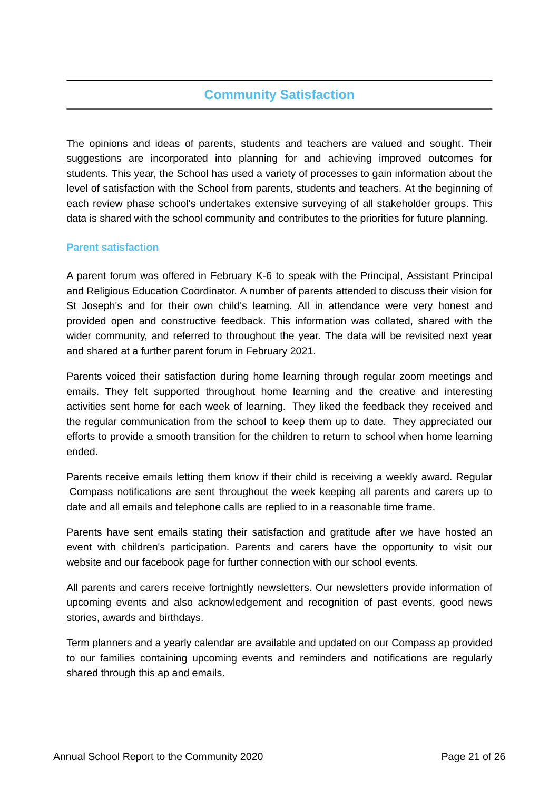## **Community Satisfaction**

The opinions and ideas of parents, students and teachers are valued and sought. Their suggestions are incorporated into planning for and achieving improved outcomes for students. This year, the School has used a variety of processes to gain information about the level of satisfaction with the School from parents, students and teachers. At the beginning of each review phase school's undertakes extensive surveying of all stakeholder groups. This data is shared with the school community and contributes to the priorities for future planning.

## **Parent satisfaction**

A parent forum was offered in February K-6 to speak with the Principal, Assistant Principal and Religious Education Coordinator. A number of parents attended to discuss their vision for St Joseph's and for their own child's learning. All in attendance were very honest and provided open and constructive feedback. This information was collated, shared with the wider community, and referred to throughout the year. The data will be revisited next year and shared at a further parent forum in February 2021.

Parents voiced their satisfaction during home learning through regular zoom meetings and emails. They felt supported throughout home learning and the creative and interesting activities sent home for each week of learning. They liked the feedback they received and the regular communication from the school to keep them up to date. They appreciated our efforts to provide a smooth transition for the children to return to school when home learning ended.

Parents receive emails letting them know if their child is receiving a weekly award. Regular Compass notifications are sent throughout the week keeping all parents and carers up to date and all emails and telephone calls are replied to in a reasonable time frame.

Parents have sent emails stating their satisfaction and gratitude after we have hosted an event with children's participation. Parents and carers have the opportunity to visit our website and our facebook page for further connection with our school events.

All parents and carers receive fortnightly newsletters. Our newsletters provide information of upcoming events and also acknowledgement and recognition of past events, good news stories, awards and birthdays.

Term planners and a yearly calendar are available and updated on our Compass ap provided to our families containing upcoming events and reminders and notifications are regularly shared through this ap and emails.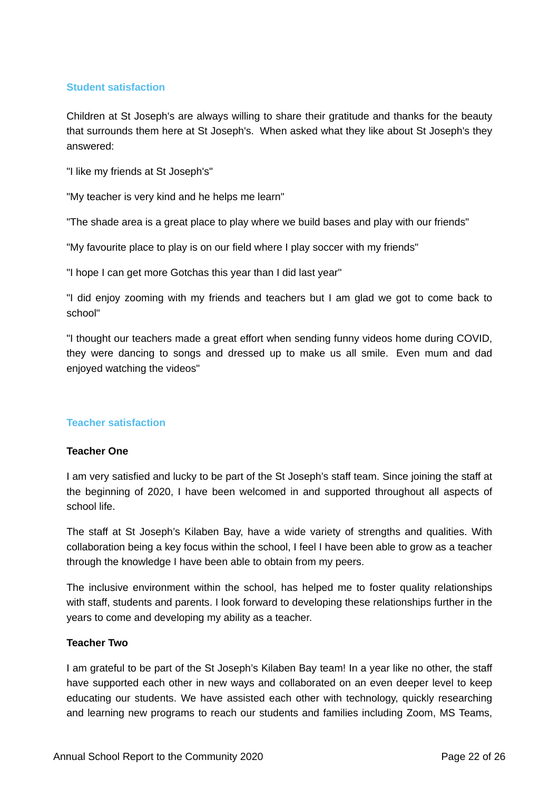## **Student satisfaction**

Children at St Joseph's are always willing to share their gratitude and thanks for the beauty that surrounds them here at St Joseph's. When asked what they like about St Joseph's they answered:

"I like my friends at St Joseph's"

"My teacher is very kind and he helps me learn"

"The shade area is a great place to play where we build bases and play with our friends"

"My favourite place to play is on our field where I play soccer with my friends"

"I hope I can get more Gotchas this year than I did last year"

"I did enjoy zooming with my friends and teachers but I am glad we got to come back to school"

"I thought our teachers made a great effort when sending funny videos home during COVID, they were dancing to songs and dressed up to make us all smile. Even mum and dad enjoyed watching the videos"

## **Teacher satisfaction**

## **Teacher One**

I am very satisfied and lucky to be part of the St Joseph's staff team. Since joining the staff at the beginning of 2020, I have been welcomed in and supported throughout all aspects of school life.

The staff at St Joseph's Kilaben Bay, have a wide variety of strengths and qualities. With collaboration being a key focus within the school, I feel I have been able to grow as a teacher through the knowledge I have been able to obtain from my peers.

The inclusive environment within the school, has helped me to foster quality relationships with staff, students and parents. I look forward to developing these relationships further in the years to come and developing my ability as a teacher.

#### **Teacher Two**

I am grateful to be part of the St Joseph's Kilaben Bay team! In a year like no other, the staff have supported each other in new ways and collaborated on an even deeper level to keep educating our students. We have assisted each other with technology, quickly researching and learning new programs to reach our students and families including Zoom, MS Teams,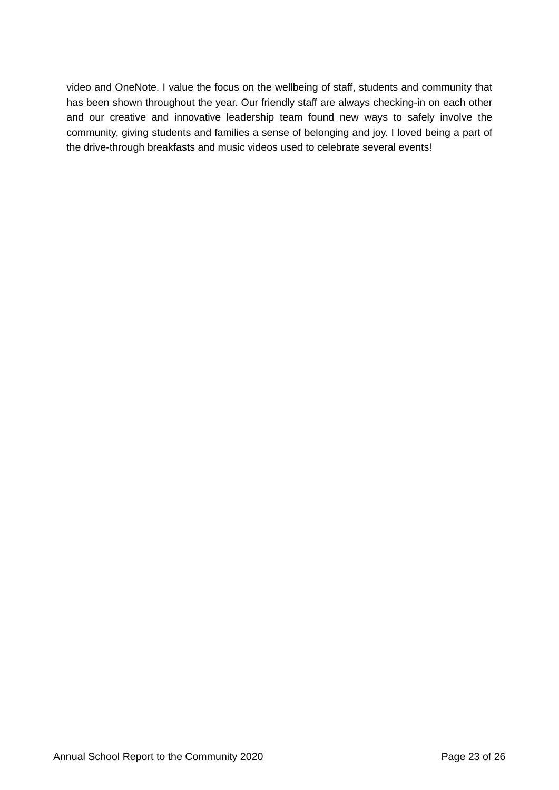video and OneNote. I value the focus on the wellbeing of staff, students and community that has been shown throughout the year. Our friendly staff are always checking-in on each other and our creative and innovative leadership team found new ways to safely involve the community, giving students and families a sense of belonging and joy. I loved being a part of the drive-through breakfasts and music videos used to celebrate several events!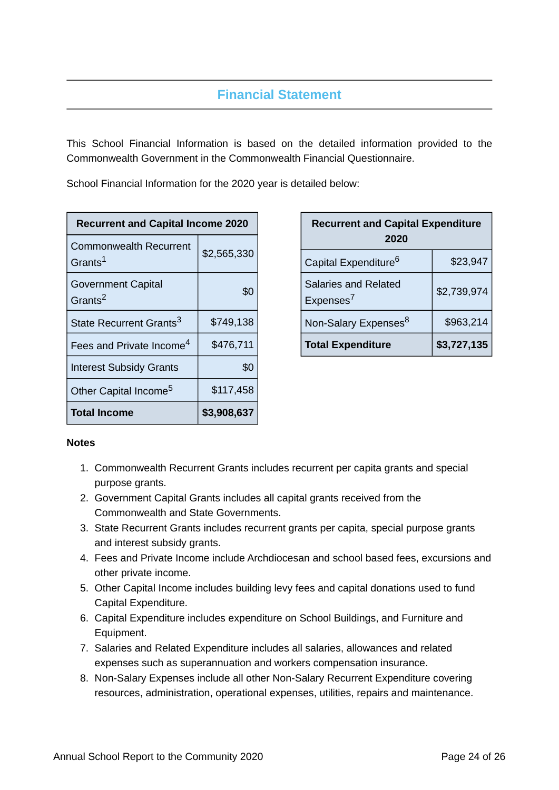# **Financial Statement**

This School Financial Information is based on the detailed information provided to the Commonwealth Government in the Commonwealth Financial Questionnaire.

School Financial Information for the 2020 year is detailed below:

| <b>Recurrent and Capital Income 2020</b>             |             |  |
|------------------------------------------------------|-------------|--|
| <b>Commonwealth Recurrent</b><br>Grants <sup>1</sup> | \$2,565,330 |  |
| <b>Government Capital</b><br>Grants <sup>2</sup>     | \$0         |  |
| State Recurrent Grants <sup>3</sup>                  | \$749,138   |  |
| Fees and Private Income <sup>4</sup>                 | \$476,711   |  |
| <b>Interest Subsidy Grants</b>                       | \$0         |  |
| Other Capital Income <sup>5</sup>                    | \$117,458   |  |
| <b>Total Income</b>                                  | \$3,908,637 |  |

| <b>Recurrent and Capital Expenditure</b><br>2020     |             |  |
|------------------------------------------------------|-------------|--|
| Capital Expenditure <sup>6</sup>                     | \$23,947    |  |
| <b>Salaries and Related</b><br>Expenses <sup>7</sup> | \$2,739,974 |  |
| Non-Salary Expenses <sup>8</sup>                     | \$963,214   |  |
| <b>Total Expenditure</b>                             | \$3,727,135 |  |

## **Notes**

- 1. Commonwealth Recurrent Grants includes recurrent per capita grants and special purpose grants.
- 2. Government Capital Grants includes all capital grants received from the Commonwealth and State Governments.
- 3. State Recurrent Grants includes recurrent grants per capita, special purpose grants and interest subsidy grants.
- 4. Fees and Private Income include Archdiocesan and school based fees, excursions and other private income.
- 5. Other Capital Income includes building levy fees and capital donations used to fund Capital Expenditure.
- 6. Capital Expenditure includes expenditure on School Buildings, and Furniture and Equipment.
- 7. Salaries and Related Expenditure includes all salaries, allowances and related expenses such as superannuation and workers compensation insurance.
- 8. Non-Salary Expenses include all other Non-Salary Recurrent Expenditure covering resources, administration, operational expenses, utilities, repairs and maintenance.